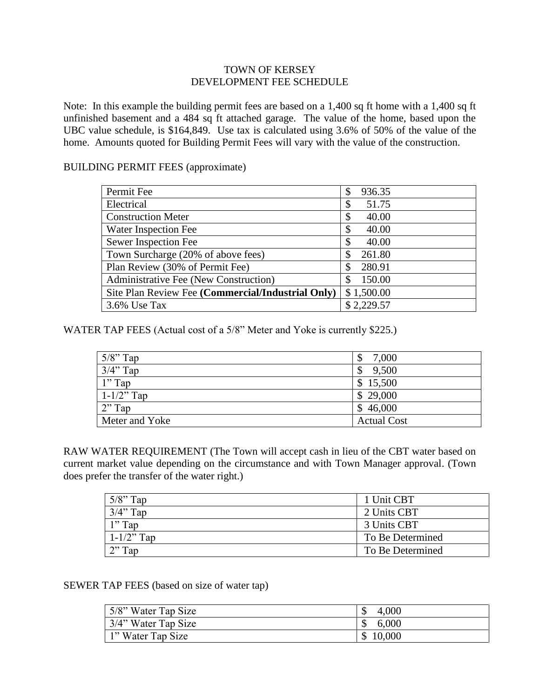## TOWN OF KERSEY DEVELOPMENT FEE SCHEDULE

Note: In this example the building permit fees are based on a 1,400 sq ft home with a 1,400 sq ft unfinished basement and a 484 sq ft attached garage. The value of the home, based upon the UBC value schedule, is \$164,849. Use tax is calculated using 3.6% of 50% of the value of the home. Amounts quoted for Building Permit Fees will vary with the value of the construction.

## BUILDING PERMIT FEES (approximate)

| Permit Fee                                        | 936.35<br>\$ |
|---------------------------------------------------|--------------|
| Electrical                                        | 51.75<br>\$  |
| <b>Construction Meter</b>                         | 40.00        |
| Water Inspection Fee                              | 40.00<br>\$  |
| Sewer Inspection Fee                              | 40.00        |
| Town Surcharge (20% of above fees)                | 261.80       |
| Plan Review (30% of Permit Fee)                   | 280.91       |
| Administrative Fee (New Construction)             | 150.00<br>S  |
| Site Plan Review Fee (Commercial/Industrial Only) | \$1,500.00   |
| 3.6% Use Tax                                      | \$2,229.57   |

WATER TAP FEES (Actual cost of a 5/8" Meter and Yoke is currently \$225.)

| $5/8$ " Tap     | 7,000                              |
|-----------------|------------------------------------|
| $3/4$ " Tap     | 9,500<br>$\boldsymbol{\mathsf{S}}$ |
| $1"$ Tap        | \$15,500                           |
| $1 - 1/2$ " Tap | \$29,000                           |
| $2"$ Tap        | \$46,000                           |
| Meter and Yoke  | <b>Actual Cost</b>                 |

RAW WATER REQUIREMENT (The Town will accept cash in lieu of the CBT water based on current market value depending on the circumstance and with Town Manager approval. (Town does prefer the transfer of the water right.)

| $5/8$ " Tap     | 1 Unit CBT       |
|-----------------|------------------|
| $3/4$ " Tap     | 2 Units CBT      |
| l" Tap          | 3 Units CBT      |
| $1 - 1/2$ " Tap | To Be Determined |
| $\gamma$ Tap    | To Be Determined |

SEWER TAP FEES (based on size of water tap)

| 5/8" Water Tap Size    | 4,000<br>$\mathcal{S}$ |
|------------------------|------------------------|
| $3/4$ " Water Tap Size | 6,000                  |
| 1" Water Tap Size      | \$10,000               |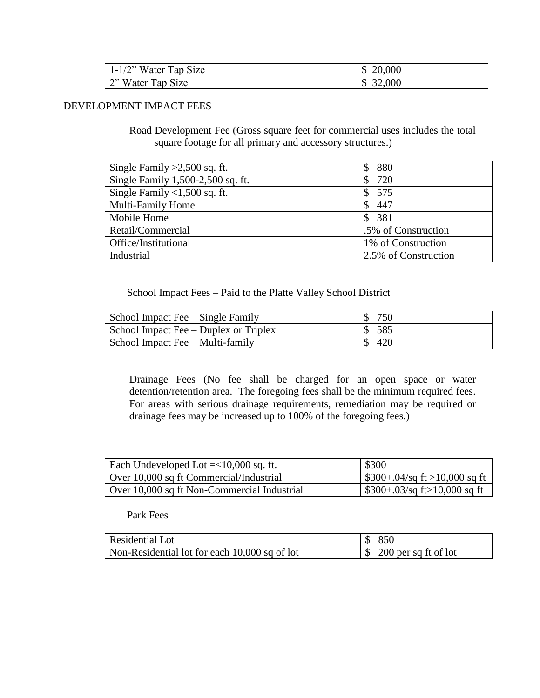| $1-1/2$ " Water Tap Size | 20,000<br>\$           |
|--------------------------|------------------------|
| 2" Water Tap Size        | 32,000<br>$\mathbb{S}$ |

## DEVELOPMENT IMPACT FEES

Road Development Fee (Gross square feet for commercial uses includes the total square footage for all primary and accessory structures.)

| Single Family $>2,500$ sq. ft.    | 880                  |
|-----------------------------------|----------------------|
| Single Family 1,500-2,500 sq. ft. | 720<br>\$            |
| Single Family $<$ 1,500 sq. ft.   | 575<br><sup>S</sup>  |
| <b>Multi-Family Home</b>          | 447<br>\$            |
| Mobile Home                       | 381<br>$\mathcal{S}$ |
| Retail/Commercial                 | .5% of Construction  |
| Office/Institutional              | 1% of Construction   |
| Industrial                        | 2.5% of Construction |

School Impact Fees – Paid to the Platte Valley School District

| School Impact Fee – Single Family     | 750    |
|---------------------------------------|--------|
| School Impact Fee – Duplex or Triplex | \$585  |
| School Impact Fee – Multi-family      | \$ 420 |

Drainage Fees (No fee shall be charged for an open space or water detention/retention area. The foregoing fees shall be the minimum required fees. For areas with serious drainage requirements, remediation may be required or drainage fees may be increased up to 100% of the foregoing fees.)

| Each Undeveloped Lot $=<10,000$ sq. ft.     | \$300                                       |
|---------------------------------------------|---------------------------------------------|
| Over 10,000 sq ft Commercial/Industrial     | $\frac{1}{2}$ \$300+.04/sq ft >10,000 sq ft |
| Over 10,000 sq ft Non-Commercial Industrial | $\frac{1}{2}$ \$300+.03/sq ft>10,000 sq ft  |

## Park Fees

| Residential Lot                               | \$ 850                             |
|-----------------------------------------------|------------------------------------|
| Non-Residential lot for each 10,000 sq of lot | $\frac{1}{2}$ 200 per sq ft of lot |